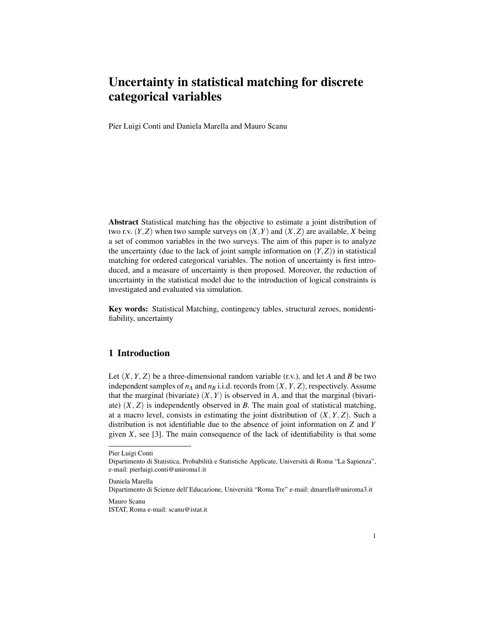# Uncertainty in statistical matching for discrete categorical variables

Pier Luigi Conti and Daniela Marella and Mauro Scanu

Abstract Statistical matching has the objective to estimate a joint distribution of two r.v.  $(Y, Z)$  when two sample surveys on  $(X, Y)$  and  $(X, Z)$  are available, *X* being a set of common variables in the two surveys. The aim of this paper is to analyze the uncertainty (due to the lack of joint sample information on  $(Y, Z)$ ) in statistical matching for ordered categorical variables. The notion of uncertainty is first introduced, and a measure of uncertainty is then proposed. Moreover, the reduction of uncertainty in the statistical model due to the introduction of logical constraints is investigated and evaluated via simulation.

Key words: Statistical Matching, contingency tables, structural zeroes, nonidentifiability, uncertainty

### 1 Introduction

Let  $(X, Y, Z)$  be a three-dimensional random variable  $(r.v.)$ , and let *A* and *B* be two independent samples of  $n_A$  and  $n_B$  i.i.d. records from  $(X, Y, Z)$ , respectively. Assume that the marginal (bivariate)  $(X, Y)$  is observed in *A*, and that the marginal (bivariate)  $(X, Z)$  is independently observed in *B*. The main goal of statistical matching, at a macro level, consists in estimating the joint distribution of  $(X, Y, Z)$ . Such a distribution is not identifiable due to the absence of joint information on *Z* and *Y* given *X*, see [3]. The main consequence of the lack of identifiability is that some

Mauro Scanu ISTAT, Roma e-mail: scanu@istat.it

Pier Luigi Conti

Dipartimento di Statistica, Probabilità e Statistiche Applicate, Università di Roma "La Sapienza", e-mail: pierluigi.conti@uniroma1.it

Daniela Marella

Dipartimento di Scienze dell'Educazione, Universita "Roma Tre" e-mail: dmarella@uniroma3.it `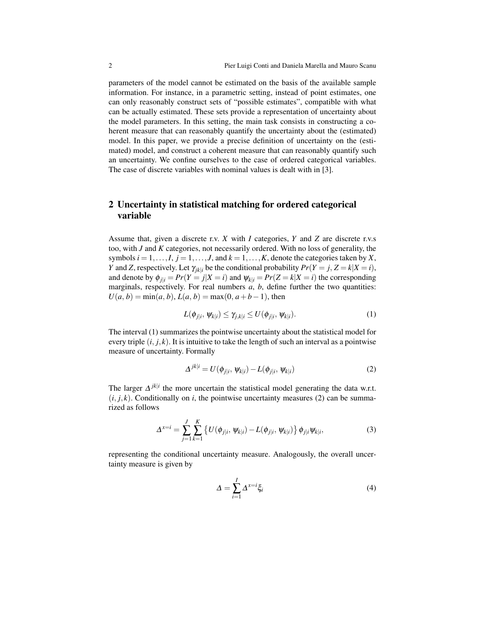parameters of the model cannot be estimated on the basis of the available sample information. For instance, in a parametric setting, instead of point estimates, one can only reasonably construct sets of "possible estimates", compatible with what can be actually estimated. These sets provide a representation of uncertainty about the model parameters. In this setting, the main task consists in constructing a coherent measure that can reasonably quantify the uncertainty about the (estimated) model. In this paper, we provide a precise definition of uncertainty on the (estimated) model, and construct a coherent measure that can reasonably quantify such an uncertainty. We confine ourselves to the case of ordered categorical variables. The case of discrete variables with nominal values is dealt with in [3].

# 2 Uncertainty in statistical matching for ordered categorical variable

Assume that, given a discrete r.v. *X* with *I* categories, *Y* and *Z* are discrete r.v.s too, with *J* and *K* categories, not necessarily ordered. With no loss of generality, the symbols  $i = 1, \ldots, I, j = 1, \ldots, J$ , and  $k = 1, \ldots, K$ , denote the categories taken by *X*, *Y* and *Z*, respectively. Let  $\gamma_{ik|i}$  be the conditional probability  $Pr(Y = j, Z = k | X = i)$ , and denote by  $\phi_{j|i} = Pr(Y = j | X = i)$  and  $\psi_{k|i} = Pr(Z = k | X = i)$  the corresponding marginals, respectively. For real numbers *a*, *b*, define further the two quantities:  $U(a, b) = min(a, b), L(a, b) = max(0, a+b-1)$ , then

$$
L(\phi_{j|i}, \psi_{k|i}) \le \gamma_{j,k|i} \le U(\phi_{j|i}, \psi_{k|i}). \tag{1}
$$

The interval (1) summarizes the pointwise uncertainty about the statistical model for every triple  $(i, j, k)$ . It is intuitive to take the length of such an interval as a pointwise measure of uncertainty. Formally

$$
\Delta^{jk|i} = U(\phi_{j|i}, \psi_{k|i}) - L(\phi_{j|i}, \psi_{k|i})
$$
\n(2)

The larger  $\Delta^{jkl}$  the more uncertain the statistical model generating the data w.r.t.  $(i, j, k)$ . Conditionally on *i*, the pointwise uncertainty measures (2) can be summarized as follows

$$
\Delta^{x=i} = \sum_{j=1}^{J} \sum_{k=1}^{K} \left\{ U(\phi_{j|i}, \psi_{k|i}) - L(\phi_{j|i}, \psi_{k|i}) \right\} \phi_{j|i} \psi_{k|i}, \tag{3}
$$

representing the conditional uncertainty measure. Analogously, the overall uncertainty measure is given by

$$
\Delta = \sum_{i=1}^{I} \Delta^{x=i} \xi_i \tag{4}
$$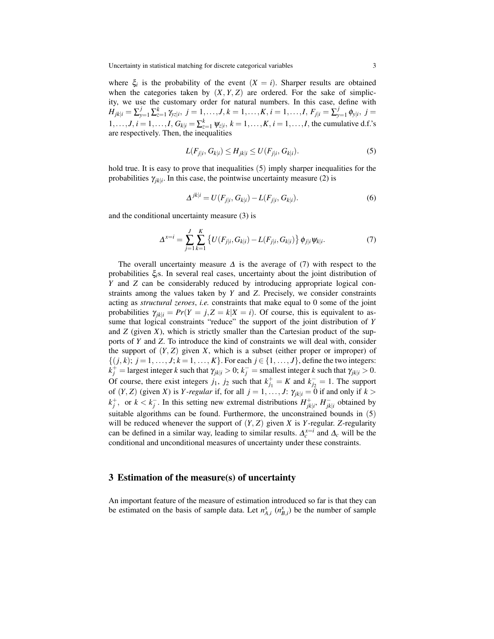where  $\xi$  is the probability of the event  $(X = i)$ . Sharper results are obtained when the categories taken by  $(X, Y, Z)$  are ordered. For the sake of simplicity, we use the customary order for natural numbers. In this case, define with  $H_{jk|i} = \sum_{y=1}^j \sum_{z=1}^k \gamma_{yz|i}, \; j=1,\ldots,J, k=1,\ldots,K, i=1,\ldots,I,$   $F_{j|i} = \sum_{y=1}^j \gamma_{z|i}$  $y_{y=1}^{J}$   $\phi_{y|i}, j =$  $1, \ldots, J, i = 1, \ldots, I, G_{k|i} = \sum_{z=1}^{k} \psi_{z|i}, k = 1, \ldots, K, i = 1, \ldots, I$ , the cumulative d.f.'s are respectively. Then, the inequalities

$$
L(F_{j|i}, G_{k|i}) \le H_{jk|i} \le U(F_{j|i}, G_{k|i}).
$$
\n(5)

hold true. It is easy to prove that inequalities (5) imply sharper inequalities for the probabilities  $\gamma_{jk|i}$ . In this case, the pointwise uncertainty measure (2) is

$$
\Delta^{jkl} = U(F_{j|i}, G_{k|i}) - L(F_{j|i}, G_{k|i}).
$$
\n(6)

and the conditional uncertainty measure (3) is

$$
\Delta^{x=i} = \sum_{j=1}^{J} \sum_{k=1}^{K} \left\{ U(F_{j|i}, G_{k|i}) - L(F_{j|i}, G_{k|i}) \right\} \phi_{j|i} \psi_{k|i}.
$$
 (7)

The overall uncertainty measure  $\Delta$  is the average of (7) with respect to the probabilities ξ*i*s. In several real cases, uncertainty about the joint distribution of *Y* and *Z* can be considerably reduced by introducing appropriate logical constraints among the values taken by *Y* and *Z*. Precisely, we consider constraints acting as *structural zeroes*, *i.e.* constraints that make equal to 0 some of the joint probabilities  $\gamma_{ik|i} = Pr(Y = j, Z = k | X = i)$ . Of course, this is equivalent to assume that logical constraints "reduce" the support of the joint distribution of *Y* and  $Z$  (given  $X$ ), which is strictly smaller than the Cartesian product of the supports of *Y* and *Z*. To introduce the kind of constraints we will deal with, consider the support of  $(Y, Z)$  given  $X$ , which is a subset (either proper or improper) of  $\{(j, k); j = 1, \ldots, J; k = 1, \ldots, K\}$ . For each  $j \in \{1, \ldots, J\}$ , define the two integers:  $k_j^+$  = largest integer *k* such that  $\gamma_{jk|i} > 0$ ;  $k_j^-$  = smallest integer *k* such that  $\gamma_{jk|i} > 0$ . Of course, there exist integers  $j_1$ ,  $j_2$  such that  $k_{j_1}^+ = K$  and  $k_{j_2}^- = 1$ . The support of  $(Y, Z)$  (given *X*) is *Y*-regular if, for all  $j = 1, \ldots, J$ :  $\gamma_{jk|i} = 0$  if and only if  $k >$  $k_j^+$ , or  $k < k_j^-$ . In this setting new extremal distributions  $H_{jk|i}^+$ ,  $H_{jk|i}^-$  obtained by suitable algorithms can be found. Furthermore, the unconstrained bounds in (5) will be reduced whenever the support of  $(Y, Z)$  given *X* is *Y*-regular. *Z*-regularity can be defined in a similar way, leading to similar results.  $\Delta_c^{x=i}$  and  $\Delta_c$  will be the conditional and unconditional measures of uncertainty under these constraints.

#### 3 Estimation of the measure(s) of uncertainty

An important feature of the measure of estimation introduced so far is that they can be estimated on the basis of sample data. Let  $n_{A,i}^x$   $(n_{B,i}^x)$  be the number of sample